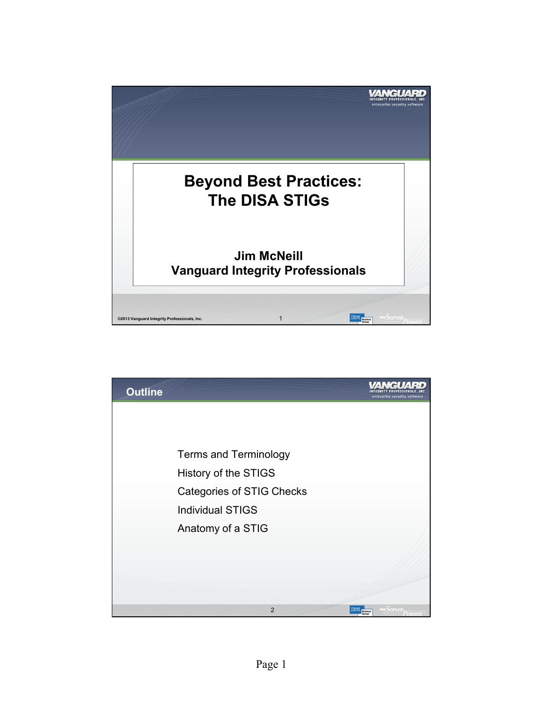

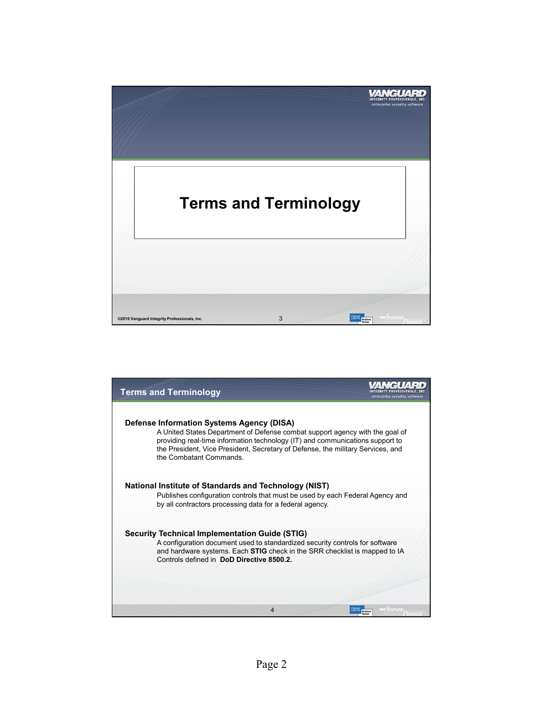

| <b>Terms and Terminology</b>                                                                                                                                                                                                                                                                                             | enterprise security software |
|--------------------------------------------------------------------------------------------------------------------------------------------------------------------------------------------------------------------------------------------------------------------------------------------------------------------------|------------------------------|
| Defense Information Systems Agency (DISA)<br>A United States Department of Defense combat support agency with the goal of<br>providing real-time information technology (IT) and communications support to<br>the President, Vice President, Secretary of Defense, the military Services, and<br>the Combatant Commands. |                              |
| National Institute of Standards and Technology (NIST)<br>Publishes configuration controls that must be used by each Federal Agency and<br>by all contractors processing data for a federal agency.                                                                                                                       |                              |
| <b>Security Technical Implementation Guide (STIG)</b><br>A configuration document used to standardized security controls for software<br>and hardware systems. Each <b>STIG</b> check in the SRR checklist is mapped to IA<br>Controls defined in DoD Directive 8500.2.                                                  |                              |
| 4                                                                                                                                                                                                                                                                                                                        |                              |
|                                                                                                                                                                                                                                                                                                                          |                              |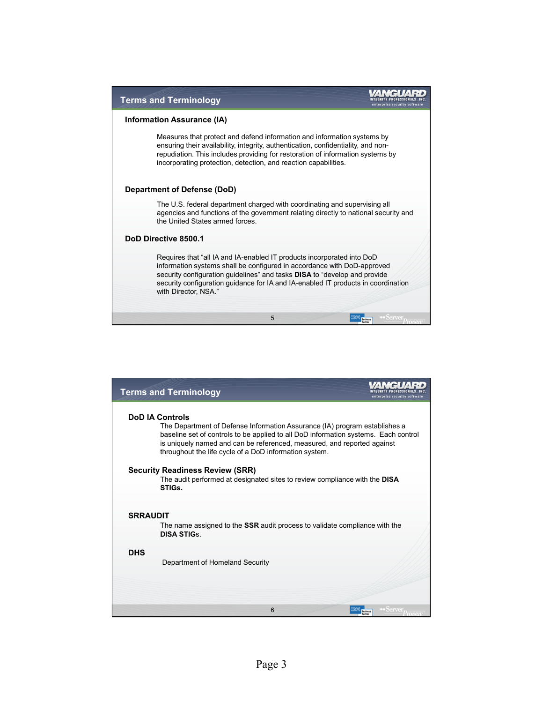

| <b>Terms and Terminology</b>                                                                                                                                                                                                                                                                                                     | enterprise security software                |
|----------------------------------------------------------------------------------------------------------------------------------------------------------------------------------------------------------------------------------------------------------------------------------------------------------------------------------|---------------------------------------------|
| <b>DoD IA Controls</b><br>The Department of Defense Information Assurance (IA) program establishes a<br>baseline set of controls to be applied to all DoD information systems. Each control<br>is uniquely named and can be referenced, measured, and reported against<br>throughout the life cycle of a DoD information system. |                                             |
| <b>Security Readiness Review (SRR)</b><br>The audit performed at designated sites to review compliance with the <b>DISA</b><br>STIGs.                                                                                                                                                                                            |                                             |
| <b>SRRAUDIT</b><br>The name assigned to the <b>SSR</b> audit process to validate compliance with the<br><b>DISA STIGS</b>                                                                                                                                                                                                        |                                             |
| <b>DHS</b><br>Department of Homeland Security                                                                                                                                                                                                                                                                                    |                                             |
| 6                                                                                                                                                                                                                                                                                                                                | Server <sub>Proven</sub><br><b>Business</b> |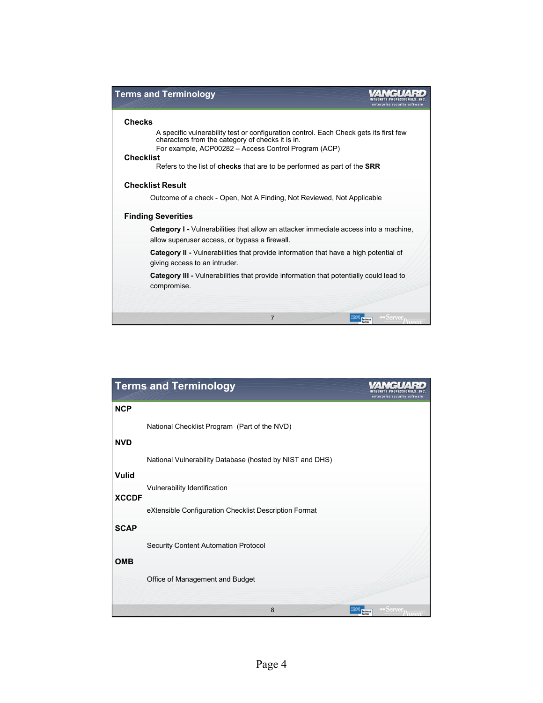

|              | <b>Terms and Terminology</b>                             | enterprise security software                                |
|--------------|----------------------------------------------------------|-------------------------------------------------------------|
| <b>NCP</b>   |                                                          |                                                             |
|              | National Checklist Program (Part of the NVD)             |                                                             |
| <b>NVD</b>   |                                                          |                                                             |
|              | National Vulnerability Database (hosted by NIST and DHS) |                                                             |
| <b>Vulid</b> |                                                          |                                                             |
|              | Vulnerability Identification                             |                                                             |
| <b>XCCDF</b> |                                                          |                                                             |
|              | eXtensible Configuration Checklist Description Format    |                                                             |
| <b>SCAP</b>  |                                                          |                                                             |
|              | Security Content Automation Protocol                     |                                                             |
| <b>OMB</b>   |                                                          |                                                             |
|              | Office of Management and Budget                          |                                                             |
|              | 8                                                        | IBM<br>$\frac{1}{2}$ Server <sub>D</sub><br><b>Business</b> |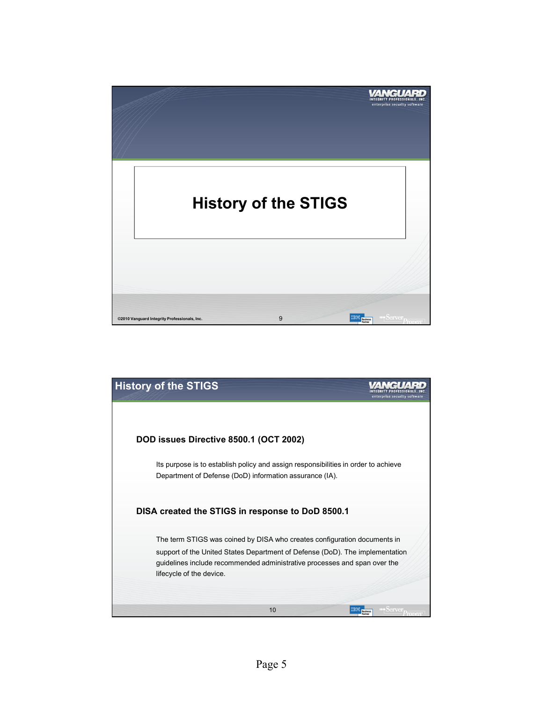

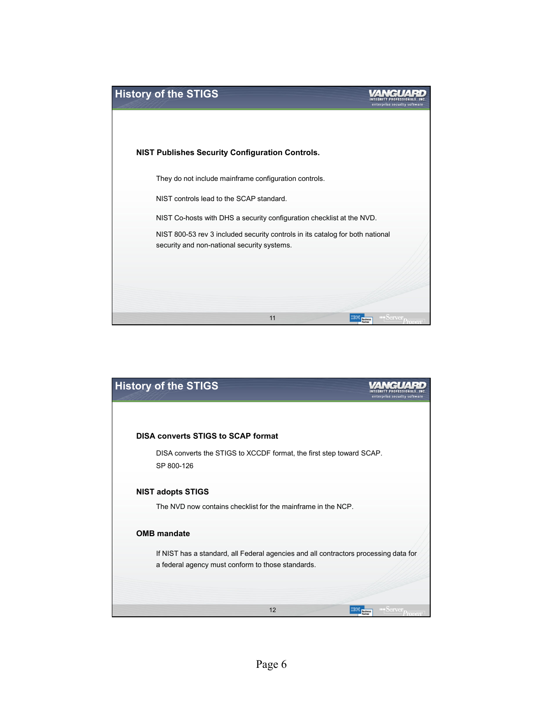

| <b>History of the STIGS</b>                                                                                                               | enterprise security software        |
|-------------------------------------------------------------------------------------------------------------------------------------------|-------------------------------------|
|                                                                                                                                           |                                     |
| <b>DISA converts STIGS to SCAP format</b>                                                                                                 |                                     |
| DISA converts the STIGS to XCCDF format, the first step toward SCAP.<br>SP 800-126                                                        |                                     |
| <b>NIST adopts STIGS</b>                                                                                                                  |                                     |
| The NVD now contains checklist for the mainframe in the NCP.                                                                              |                                     |
| <b>OMB</b> mandate                                                                                                                        |                                     |
| If NIST has a standard, all Federal agencies and all contractors processing data for<br>a federal agency must conform to those standards. |                                     |
|                                                                                                                                           |                                     |
| 12                                                                                                                                        | <b>bicin</b> Ver<br><b>Business</b> |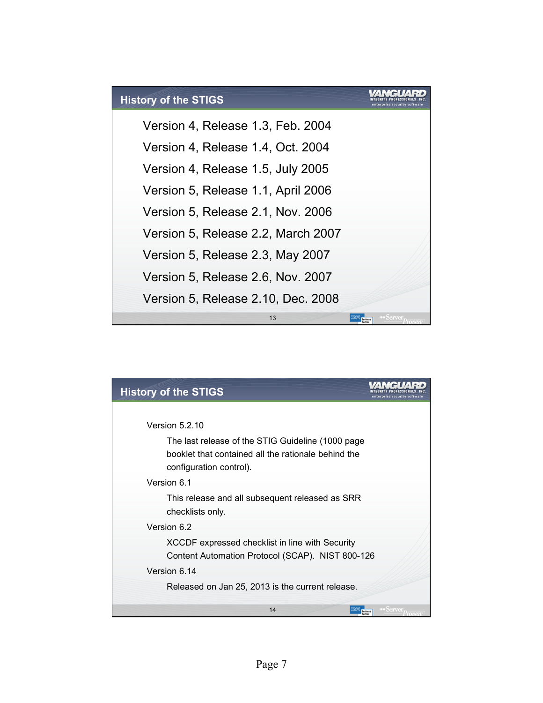

| <b>History of the STIGS</b>                         | enterprise security software |
|-----------------------------------------------------|------------------------------|
|                                                     |                              |
| Version 5.2.10                                      |                              |
| The last release of the STIG Guideline (1000 page   |                              |
| booklet that contained all the rationale behind the |                              |
| configuration control).                             |                              |
| Version 6.1                                         |                              |
| This release and all subsequent released as SRR     |                              |
| checklists only.                                    |                              |
| Version 6.2                                         |                              |
| XCCDF expressed checklist in line with Security     |                              |
| Content Automation Protocol (SCAP). NIST 800-126    |                              |
| Version 6.14                                        |                              |
| Released on Jan 25, 2013 is the current release.    |                              |
| 14<br><b>TBM</b> Business                           | <b>IFM Derver</b>            |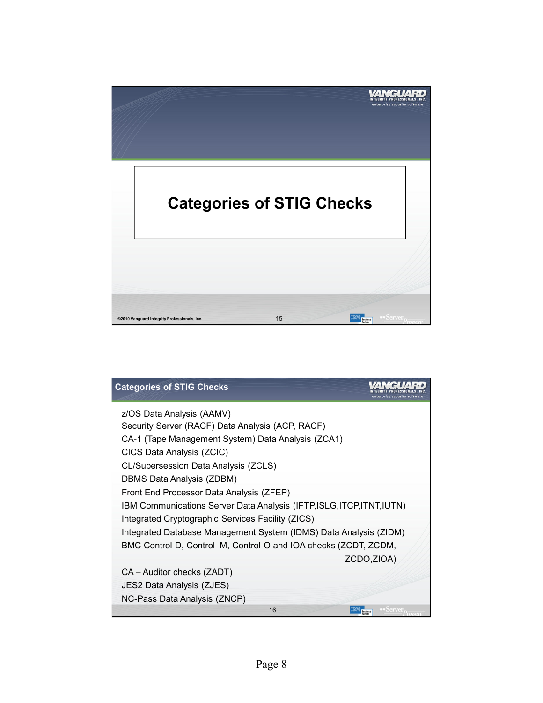

| <b>Categories of STIG Checks</b>                                       | enterprise security software                  |
|------------------------------------------------------------------------|-----------------------------------------------|
| z/OS Data Analysis (AAMV)                                              |                                               |
| Security Server (RACF) Data Analysis (ACP, RACF)                       |                                               |
| CA-1 (Tape Management System) Data Analysis (ZCA1)                     |                                               |
| CICS Data Analysis (ZCIC)                                              |                                               |
| CL/Supersession Data Analysis (ZCLS)                                   |                                               |
| DBMS Data Analysis (ZDBM)                                              |                                               |
| Front End Processor Data Analysis (ZFEP)                               |                                               |
| IBM Communications Server Data Analysis (IFTP, ISLG, ITCP, ITNT, IUTN) |                                               |
| Integrated Cryptographic Services Facility (ZICS)                      |                                               |
| Integrated Database Management System (IDMS) Data Analysis (ZIDM)      |                                               |
| BMC Control-D, Control-M, Control-O and IOA checks (ZCDT, ZCDM,        |                                               |
|                                                                        | ZCDO,ZIOA)                                    |
| CA - Auditor checks (ZADT)                                             |                                               |
| JES2 Data Analysis (ZJES)                                              |                                               |
| NC-Pass Data Analysis (ZNCP)                                           |                                               |
| 16                                                                     | $S$ erver <sub>p</sub><br><b>TBM</b> Business |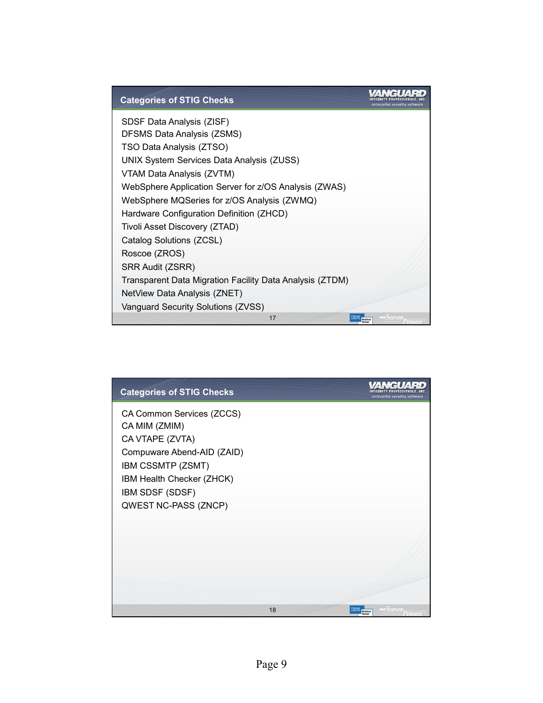| <b>Categories of STIG Checks</b>                         | enterprise security software |
|----------------------------------------------------------|------------------------------|
| SDSF Data Analysis (ZISF)                                |                              |
| DFSMS Data Analysis (ZSMS)                               |                              |
| TSO Data Analysis (ZTSO)                                 |                              |
| UNIX System Services Data Analysis (ZUSS)                |                              |
| VTAM Data Analysis (ZVTM)                                |                              |
| WebSphere Application Server for z/OS Analysis (ZWAS)    |                              |
| WebSphere MQSeries for z/OS Analysis (ZWMQ)              |                              |
| Hardware Configuration Definition (ZHCD)                 |                              |
| Tivoli Asset Discovery (ZTAD)                            |                              |
| Catalog Solutions (ZCSL)                                 |                              |
| Roscoe (ZROS)                                            |                              |
| SRR Audit (ZSRR)                                         |                              |
| Transparent Data Migration Facility Data Analysis (ZTDM) |                              |
| NetView Data Analysis (ZNET)                             |                              |
| Vanguard Security Solutions (ZVSS)                       |                              |
| 17                                                       | <b>THE DIGITY (C)</b>        |

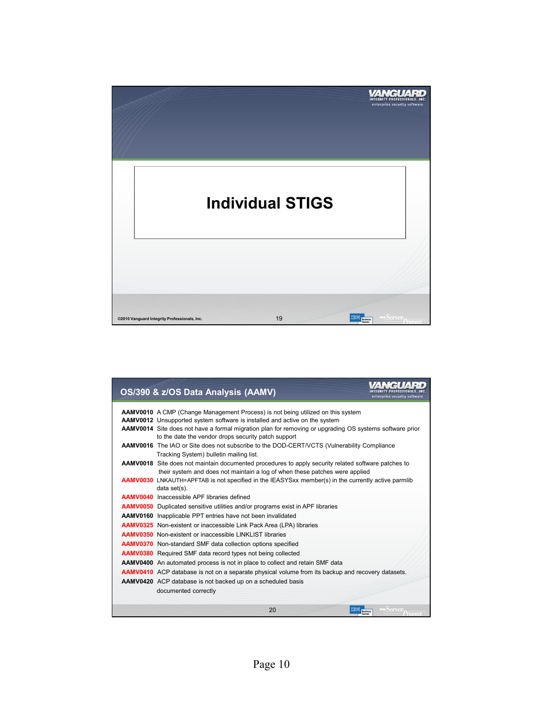

|  | OS/390 & z/OS Data Analysis (AAMV)                                                                                                                                                        | enterprise security software |
|--|-------------------------------------------------------------------------------------------------------------------------------------------------------------------------------------------|------------------------------|
|  | <b>AAMV0010</b> A CMP (Change Management Process) is not being utilized on this system                                                                                                    |                              |
|  | <b>AAMV0012</b> Unsupported system software is installed and active on the system                                                                                                         |                              |
|  | AAMV0014 Site does not have a formal migration plan for removing or upgrading OS systems software prior<br>to the date the vendor drops security patch support                            |                              |
|  | AAMV0016 The IAO or Site does not subscribe to the DOD-CERT/VCTS (Vulnerability Compliance<br>Tracking System) bulletin mailing list.                                                     |                              |
|  | <b>AAMV0018</b> Site does not maintain documented procedures to apply security related software patches to<br>their system and does not maintain a log of when these patches were applied |                              |
|  | <b>AAMV0030</b> LNKAUTH=APFTAB is not specified in the IEASYSxx member(s) in the currently active parmlib                                                                                 |                              |
|  | data set(s).                                                                                                                                                                              |                              |
|  | <b>AAMV0040</b> Inaccessible APF libraries defined                                                                                                                                        |                              |
|  | <b>AAMV0050</b> Duplicated sensitive utilities and/or programs exist in APF libraries                                                                                                     |                              |
|  | <b>AAMV0160</b> Inapplicable PPT entries have not been invalidated                                                                                                                        |                              |
|  | <b>AAMV0325</b> Non-existent or inaccessible Link Pack Area (LPA) libraries                                                                                                               |                              |
|  | <b>AAMV0350</b> Non-existent or inaccessible LINKLIST libraries                                                                                                                           |                              |
|  | <b>AAMV0370</b> Non-standard SMF data collection options specified                                                                                                                        |                              |
|  | <b>AAMV0380</b> Required SMF data record types not being collected                                                                                                                        |                              |
|  | <b>AAMV0400</b> An automated process is not in place to collect and retain SMF data                                                                                                       |                              |
|  | <b>AAMV0410</b> ACP database is not on a separate physical volume from its backup and recovery datasets.                                                                                  |                              |
|  | <b>AAMV0420</b> ACP database is not backed up on a scheduled basis                                                                                                                        |                              |
|  | documented correctly                                                                                                                                                                      |                              |
|  | 20<br>IBM<br><b>Business</b>                                                                                                                                                              | <b>Server</b>                |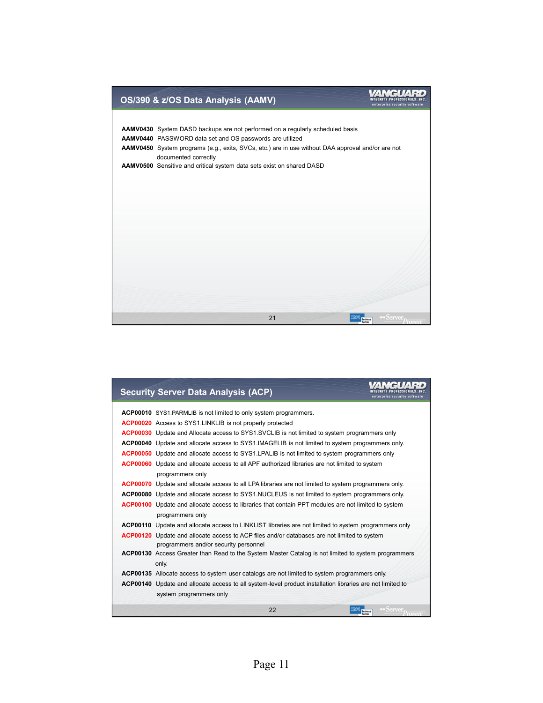# INTEGRITY PROFESSIONALS, INC. **OS/390 & z/OS Data Analysis (AAMV) AAMV0430** System DASD backups are not performed on a regularly scheduled basis **AAMV0440** PASSWORD data set and OS passwords are utilized **AAMV0450** System programs (e.g., exits, SVCs, etc.) are in use without DAA approval and/or are not documented correctly **AAMV0500** Sensitive and critical system data sets exist on shared DASD 21 **IBM Business IFM** Server

| <b>Security Server Data Analysis (ACP)</b>                                                                                                  | enterprise security software                                      |
|---------------------------------------------------------------------------------------------------------------------------------------------|-------------------------------------------------------------------|
| <b>ACP00010</b> SYS1.PARMLIB is not limited to only system programmers.                                                                     |                                                                   |
| ACP00020 Access to SYS1.LINKLIB is not properly protected                                                                                   |                                                                   |
| <b>ACP00030</b> Update and Allocate access to SYS1.SVCLIB is not limited to system programmers only                                         |                                                                   |
| ACP00040 Update and allocate access to SYS1. IMAGELIB is not limited to system programmers only.                                            |                                                                   |
| <b>ACP00050</b> Update and allocate access to SYS1.LPALIB is not limited to system programmers only                                         |                                                                   |
| <b>ACP00060</b> Update and allocate access to all APF authorized libraries are not limited to system                                        |                                                                   |
| programmers only                                                                                                                            |                                                                   |
| <b>ACP00070</b> Update and allocate access to all LPA libraries are not limited to system programmers only.                                 |                                                                   |
| <b>ACP00080</b> Update and allocate access to SYS1.NUCLEUS is not limited to system programmers only.                                       |                                                                   |
| <b>ACP00100</b> Update and allocate access to libraries that contain PPT modules are not limited to system<br>programmers only              |                                                                   |
| <b>ACP00110</b> Update and allocate access to LINKLIST libraries are not limited to system programmers only                                 |                                                                   |
| <b>ACP00120</b> Update and allocate access to ACP files and/or databases are not limited to system<br>programmers and/or security personnel |                                                                   |
| <b>ACP00130</b> Access Greater than Read to the System Master Catalog is not limited to system programmers<br>only.                         |                                                                   |
| ACP00135 Allocate access to system user catalogs are not limited to system programmers only.                                                |                                                                   |
| ACP00140 Update and allocate access to all system-level product installation libraries are not limited to                                   |                                                                   |
| system programmers only                                                                                                                     |                                                                   |
| 22                                                                                                                                          | $S$ erver $D_{\text{reduction}}$<br><b>IBM</b><br><b>Business</b> |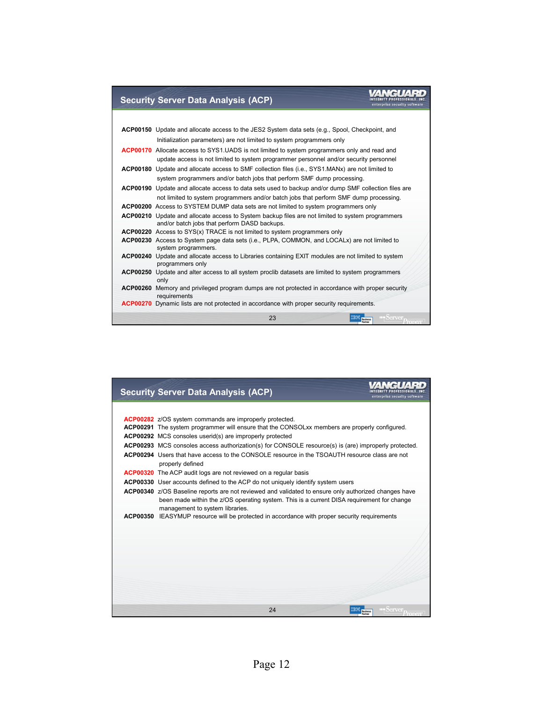### WANGUARD

#### **Security Server Data Analysis (ACP)**

| <b>ACP00150</b> Update and allocate access to the JES2 System data sets (e.g., Spool, Checkpoint, and                      |
|----------------------------------------------------------------------------------------------------------------------------|
| Initialization parameters) are not limited to system programmers only                                                      |
| <b>ACP00170</b> Allocate access to SYS1.UADS is not limited to system programmers only and read and                        |
| update access is not limited to system programmer personnel and/or security personnel                                      |
| <b>ACP00180</b> Update and allocate access to SMF collection files (i.e., SYS1.MANx) are not limited to                    |
| system programmers and/or batch jobs that perform SMF dump processing.                                                     |
| ACP00190 Update and allocate access to data sets used to backup and/or dump SMF collection files are                       |
| not limited to system programmers and/or batch jobs that perform SMF dump processing.                                      |
| ACP00200 Access to SYSTEM DUMP data sets are not limited to system programmers only                                        |
| <b>ACP00210</b> Update and allocate access to System backup files are not limited to system programmers                    |
| and/or batch jobs that perform DASD backups.                                                                               |
| <b>ACP00220</b> Access to SYS(x) TRACE is not limited to system programmers only                                           |
| <b>ACP00230</b> Access to System page data sets (i.e., PLPA, COMMON, and LOCALx) are not limited to<br>system programmers. |
| ACP00240 Update and allocate access to Libraries containing EXIT modules are not limited to system<br>programmers only     |
| ACP00250 Update and alter access to all system proclib datasets are limited to system programmers<br>only                  |
| ACP00260 Memory and privileged program dumps are not protected in accordance with proper security<br>requirements          |
| <b>ACP00270</b> Dynamic lists are not protected in accordance with proper security requirements.                           |
| 23<br><b>INDerver</b><br><b>Business</b>                                                                                   |

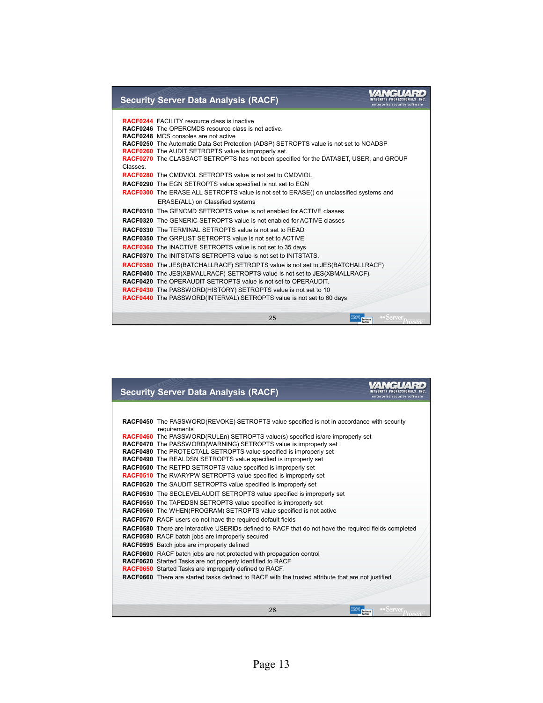## INTEGRITY PROFESSIONALS, INC.<br>
enterprise security software

#### **Security Server Data Analysis (RACF)**

|          | <b>RACF0244</b> FACILITY resource class is inactive                                            |
|----------|------------------------------------------------------------------------------------------------|
|          | <b>RACF0246</b> The OPERCMDS resource class is not active.                                     |
|          | <b>RACF0248</b> MCS consoles are not active                                                    |
|          | RACF0250 The Automatic Data Set Protection (ADSP) SETROPTS value is not set to NOADSP          |
|          | <b>RACF0260</b> The AUDIT SETROPTS value is improperly set.                                    |
|          | RACF0270 The CLASSACT SETROPTS has not been specified for the DATASET, USER, and GROUP         |
| Classes. |                                                                                                |
|          | <b>RACF0280</b> The CMDVIOL SETROPTS value is not set to CMDVIOL                               |
|          | <b>RACF0290</b> The EGN SETROPTS value specified is not set to EGN                             |
|          | <b>RACF0300</b> The ERASE ALL SETROPTS value is not set to ERASE() on unclassified systems and |
|          | ERASE(ALL) on Classified systems                                                               |
|          | <b>RACF0310</b> The GENCMD SETROPTS value is not enabled for ACTIVE classes                    |
|          | <b>RACF0320</b> The GENERIC SETROPTS value is not enabled for ACTIVE classes                   |
|          | <b>RACF0330</b> The TERMINAL SETROPTS value is not set to READ                                 |
|          | <b>RACF0350</b> The GRPLIST SETROPTS value is not set to ACTIVE                                |
|          | <b>RACF0360</b> The INACTIVE SETROPTS value is not set to 35 days                              |
|          | <b>RACF0370</b> The INITSTATS SETROPTS value is not set to INITSTATS.                          |
|          | <b>RACF0380</b> The JES(BATCHALLRACF) SETROPTS value is not set to JES(BATCHALLRACF)           |
|          | RACF0400 The JES(XBMALLRACF) SETROPTS value is not set to JES(XBMALLRACF).                     |
|          | <b>RACF0420</b> The OPERAUDIT SETROPTS value is not set to OPERAUDIT.                          |
|          | RACF0430 The PASSWORD(HISTORY) SETROPTS value is not set to 10                                 |
|          | <b>RACF0440</b> The PASSWORD(INTERVAL) SETROPTS value is not set to 60 days                    |
|          |                                                                                                |
|          | 25<br>Server $p_{\alpha}$<br><b>Business</b>                                                   |
|          |                                                                                                |

| <b>Security Server Data Analysis (RACF)</b>                                                                                                         | enterprise security software                                                                                    |
|-----------------------------------------------------------------------------------------------------------------------------------------------------|-----------------------------------------------------------------------------------------------------------------|
|                                                                                                                                                     |                                                                                                                 |
| <b>RACF0450</b> The PASSWORD(REVOKE) SETROPTS value specified is not in accordance with security<br>requirements                                    |                                                                                                                 |
| RACF0460 The PASSWORD(RULEn) SETROPTS value(s) specified is/are improperly set                                                                      |                                                                                                                 |
| RACF0470 The PASSWORD(WARNING) SETROPTS value is improperly set                                                                                     |                                                                                                                 |
| <b>RACF0480</b> The PROTECTALL SETROPTS value specified is improperly set<br><b>RACF0490</b> The REALDSN SETROPTS value specified is improperly set |                                                                                                                 |
| <b>RACF0500</b> The RETPD SETROPTS value specified is improperly set                                                                                |                                                                                                                 |
| <b>RACF0510</b> The RVARYPW SETROPTS value specified is improperly set                                                                              |                                                                                                                 |
| <b>RACF0520</b> The SAUDIT SETROPTS value specified is improperly set                                                                               |                                                                                                                 |
| <b>RACF0530</b> The SECLEVELAUDIT SETROPTS value specified is improperly set                                                                        |                                                                                                                 |
| <b>RACF0550</b> The TAPEDSN SETROPTS value specified is improperly set                                                                              |                                                                                                                 |
| RACF0560 The WHEN(PROGRAM) SETROPTS value specified is not active                                                                                   |                                                                                                                 |
| RACF0570 RACF users do not have the required default fields                                                                                         |                                                                                                                 |
| RACF0580 There are interactive USERIDs defined to RACF that do not have the required fields completed                                               |                                                                                                                 |
| <b>RACF0590</b> RACF batch jobs are improperly secured                                                                                              |                                                                                                                 |
| RACF0595 Batch jobs are improperly defined                                                                                                          |                                                                                                                 |
| <b>RACF0600</b> RACF batch jobs are not protected with propagation control                                                                          |                                                                                                                 |
| RACF0620 Started Tasks are not properly identified to RACF                                                                                          |                                                                                                                 |
| RACF0650 Started Tasks are improperly defined to RACF.                                                                                              |                                                                                                                 |
| RACF0660 There are started tasks defined to RACF with the trusted attribute that are not justified.                                                 |                                                                                                                 |
|                                                                                                                                                     |                                                                                                                 |
|                                                                                                                                                     |                                                                                                                 |
| 26                                                                                                                                                  | $\blacksquare$ $\blacksquare$ $\blacksquare$ $\lozenge$ $\blacksquare$<br><b>Business</b><br>$P_{\text{rowen}}$ |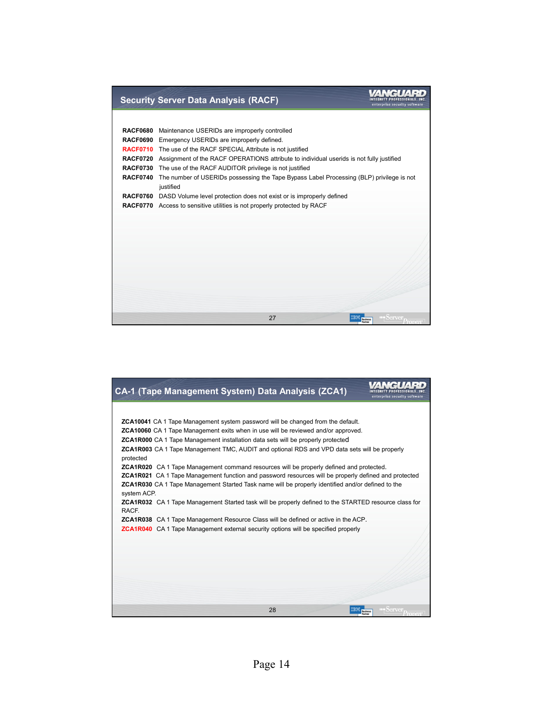

| CA-1 (Tape Management System) Data Analysis (ZCA1)                                                                      | enterprise security software                                    |
|-------------------------------------------------------------------------------------------------------------------------|-----------------------------------------------------------------|
|                                                                                                                         |                                                                 |
| <b>ZCA10041</b> CA 1 Tape Management system password will be changed from the default.                                  |                                                                 |
| <b>ZCA10060</b> CA 1 Tape Management exits when in use will be reviewed and/or approved.                                |                                                                 |
| <b>ZCA1R000</b> CA 1 Tape Management installation data sets will be properly protected                                  |                                                                 |
| <b>ZCA1R003</b> CA 1 Tape Management TMC, AUDIT and optional RDS and VPD data sets will be properly<br>protected        |                                                                 |
| <b>ZCA1R020</b> CA1 Tape Management command resources will be properly defined and protected.                           |                                                                 |
| <b>ZCA1R021</b> CA 1 Tape Management function and password resources will be properly defined and protected             |                                                                 |
| <b>ZCA1R030</b> CA 1 Tape Management Started Task name will be properly identified and/or defined to the<br>system ACP. |                                                                 |
| <b>ZCA1R032</b> CA 1 Tape Management Started task will be properly defined to the STARTED resource class for<br>RACF.   |                                                                 |
| <b>ZCA1R038</b> CA 1 Tape Management Resource Class will be defined or active in the ACP.                               |                                                                 |
| <b>ZCA1R040</b> CA 1 Tape Management external security options will be specified properly                               |                                                                 |
|                                                                                                                         |                                                                 |
|                                                                                                                         |                                                                 |
|                                                                                                                         |                                                                 |
|                                                                                                                         |                                                                 |
|                                                                                                                         |                                                                 |
|                                                                                                                         |                                                                 |
| 28                                                                                                                      | $\mathbb{S}$ erver $\mathbf{p}_{\text{max}}$<br><b>Business</b> |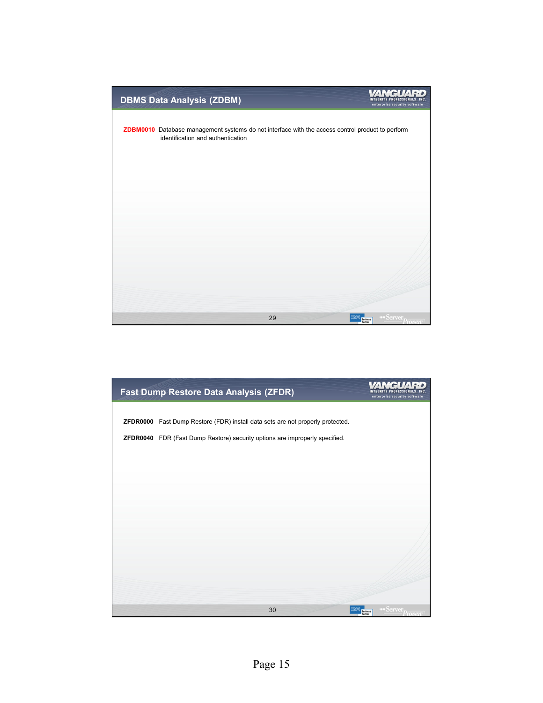

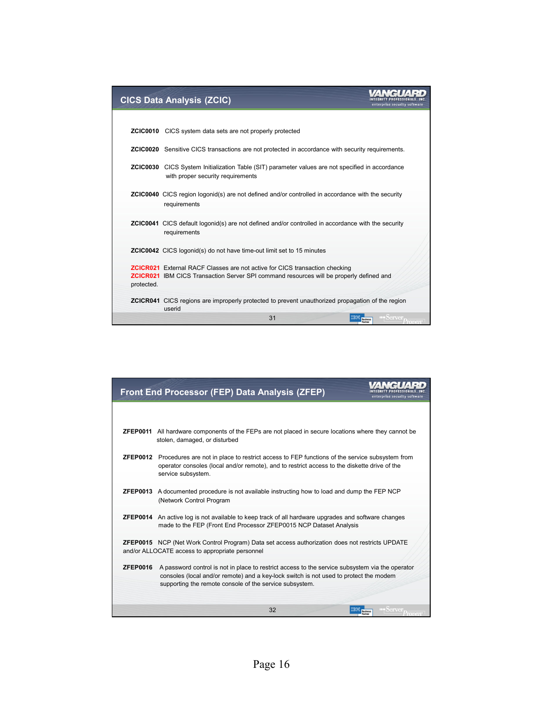|            | <b>CICS Data Analysis (ZCIC)</b>                                                                                                                                                     | enterprise security software |
|------------|--------------------------------------------------------------------------------------------------------------------------------------------------------------------------------------|------------------------------|
|            |                                                                                                                                                                                      |                              |
|            | <b>ZCIC0010</b> CICS system data sets are not properly protected                                                                                                                     |                              |
|            | <b>ZCIC0020</b> Sensitive CICS transactions are not protected in accordance with security requirements.                                                                              |                              |
|            | <b>ZCIC0030</b> CICS System Initialization Table (SIT) parameter values are not specified in accordance<br>with proper security requirements                                         |                              |
|            | <b>ZCIC0040</b> CICS region logonid(s) are not defined and/or controlled in accordance with the security<br>requirements                                                             |                              |
|            | <b>ZCIC0041</b> CICS default logonid(s) are not defined and/or controlled in accordance with the security<br>requirements                                                            |                              |
|            | <b>ZCIC0042</b> CICS logonid(s) do not have time-out limit set to 15 minutes                                                                                                         |                              |
| protected. | <b>ZCICR021</b> External RACF Classes are not active for CICS transaction checking<br><b>ZCICR021</b> IBM CICS Transaction Server SPI command resources will be properly defined and |                              |
|            | <b>ZCICR041</b> CICS regions are improperly protected to prevent unauthorized propagation of the region<br>userid                                                                    |                              |
|            | 31                                                                                                                                                                                   |                              |

|                 | Front End Processor (FEP) Data Analysis (ZFEP)                                                                                                                                                                                                      | enterprise security software |
|-----------------|-----------------------------------------------------------------------------------------------------------------------------------------------------------------------------------------------------------------------------------------------------|------------------------------|
|                 |                                                                                                                                                                                                                                                     |                              |
|                 | <b>ZFEP0011</b> All hardware components of the FEPs are not placed in secure locations where they cannot be<br>stolen, damaged, or disturbed                                                                                                        |                              |
| <b>ZFEP0012</b> | Procedures are not in place to restrict access to FEP functions of the service subsystem from<br>operator consoles (local and/or remote), and to restrict access to the diskette drive of the<br>service subsystem.                                 |                              |
|                 | <b>ZFEP0013</b> A documented procedure is not available instructing how to load and dump the FEP NCP<br>(Network Control Program                                                                                                                    |                              |
|                 | <b>ZFEP0014</b> An active log is not available to keep track of all hardware upgrades and software changes<br>made to the FEP (Front End Processor ZFEP0015 NCP Dataset Analysis                                                                    |                              |
|                 | <b>ZFEP0015</b> NCP (Net Work Control Program) Data set access authorization does not restricts UPDATE<br>and/or ALLOCATE access to appropriate personnel                                                                                           |                              |
| <b>ZFEP0016</b> | A password control is not in place to restrict access to the service subsystem via the operator<br>consoles (local and/or remote) and a key-lock switch is not used to protect the modem<br>supporting the remote console of the service subsystem. |                              |
|                 | 32                                                                                                                                                                                                                                                  | <b>Business</b>              |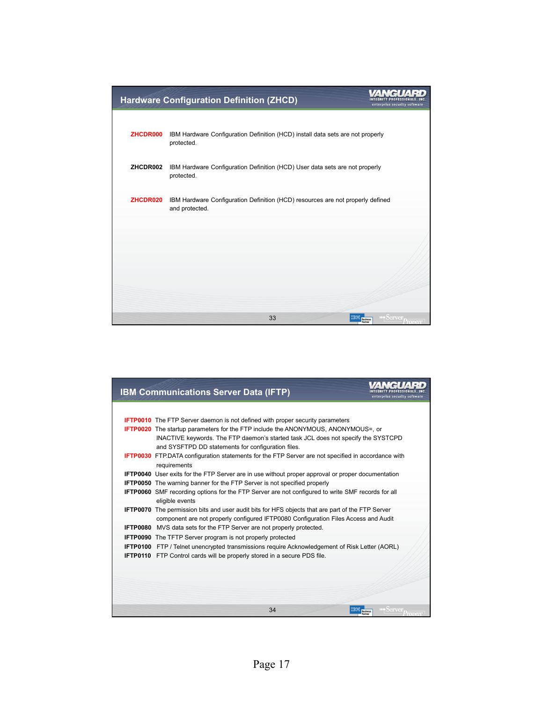|          | <b>Hardware Configuration Definition (ZHCD)</b>                                                  | enterprise security software           |
|----------|--------------------------------------------------------------------------------------------------|----------------------------------------|
|          |                                                                                                  |                                        |
| ZHCDR000 | IBM Hardware Configuration Definition (HCD) install data sets are not properly<br>protected.     |                                        |
| ZHCDR002 | IBM Hardware Configuration Definition (HCD) User data sets are not properly<br>protected.        |                                        |
| ZHCDR020 | IBM Hardware Configuration Definition (HCD) resources are not properly defined<br>and protected. |                                        |
|          |                                                                                                  |                                        |
|          |                                                                                                  |                                        |
|          |                                                                                                  |                                        |
|          | 33                                                                                               | $\blacksquare$ ia v $\odot$<br>usiness |

| <b>IBM Communications Server Data (IFTP)</b>                                                                                                                                            | enterprise security software |
|-----------------------------------------------------------------------------------------------------------------------------------------------------------------------------------------|------------------------------|
|                                                                                                                                                                                         |                              |
| <b>IFTP0010</b> The FTP Server daemon is not defined with proper security parameters                                                                                                    |                              |
| <b>IFTP0020</b> The startup parameters for the FTP include the ANONYMOUS, ANONYMOUS=, or                                                                                                |                              |
| INACTIVE keywords. The FTP daemon's started task JCL does not specify the SYSTCPD                                                                                                       |                              |
| and SYSFTPD DD statements for configuration files.                                                                                                                                      |                              |
| <b>IFTP0030</b> FTP.DATA configuration statements for the FTP Server are not specified in accordance with                                                                               |                              |
| requirements                                                                                                                                                                            |                              |
| <b>IFTP0040</b> User exits for the FTP Server are in use without proper approval or proper documentation                                                                                |                              |
| <b>IFTP0050</b> The warning banner for the FTP Server is not specified properly                                                                                                         |                              |
| <b>IFTP0060</b> SMF recording options for the FTP Server are not configured to write SMF records for all                                                                                |                              |
| eligible events                                                                                                                                                                         |                              |
| <b>IFTP0070</b> The permission bits and user audit bits for HFS objects that are part of the FTP Server                                                                                 |                              |
| component are not properly configured IFTP0080 Configuration Files Access and Audit<br><b>IFTP0080</b> MVS data sets for the FTP Server are not properly protected.                     |                              |
|                                                                                                                                                                                         |                              |
| <b>IFTP0090</b> The TFTP Server program is not properly protected                                                                                                                       |                              |
| <b>IFTP0100</b> FTP / Telnet unencrypted transmissions require Acknowledgement of Risk Letter (AORL)<br><b>IFTP0110</b> FTP Control cards will be properly stored in a secure PDS file. |                              |
|                                                                                                                                                                                         |                              |
|                                                                                                                                                                                         |                              |
|                                                                                                                                                                                         |                              |
|                                                                                                                                                                                         |                              |
|                                                                                                                                                                                         |                              |
| 34                                                                                                                                                                                      |                              |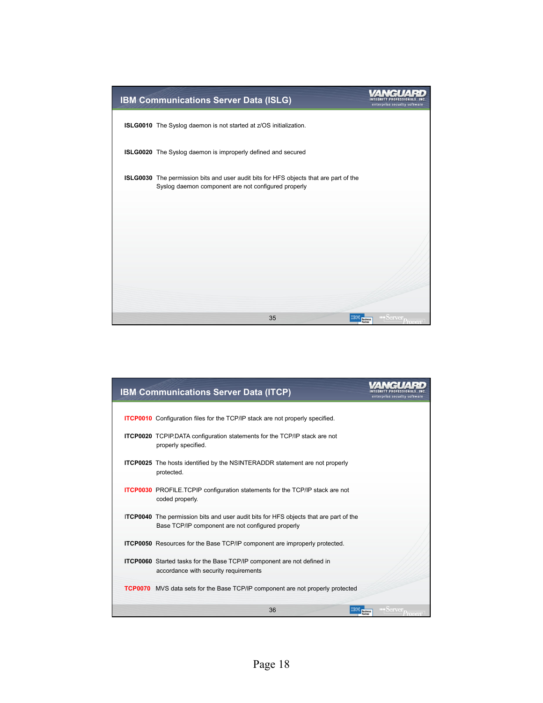

| <b>IBM Communications Server Data (ITCP)</b>                                                                                                      |                            |
|---------------------------------------------------------------------------------------------------------------------------------------------------|----------------------------|
|                                                                                                                                                   |                            |
| <b>ITCP0010</b> Configuration files for the TCP/IP stack are not properly specified.                                                              |                            |
| <b>ITCP0020</b> TCPIP.DATA configuration statements for the TCP/IP stack are not<br>properly specified.                                           |                            |
| <b>ITCP0025</b> The hosts identified by the NSINTERADDR statement are not properly<br>protected.                                                  |                            |
| <b>ITCP0030</b> PROFILE.TCPIP configuration statements for the TCP/IP stack are not<br>coded properly.                                            |                            |
| <b>ITCP0040</b> The permission bits and user audit bits for HFS objects that are part of the<br>Base TCP/IP component are not configured properly |                            |
| <b>ITCP0050</b> Resources for the Base TCP/IP component are improperly protected.                                                                 |                            |
| <b>ITCP0060</b> Started tasks for the Base TCP/IP component are not defined in<br>accordance with security requirements                           |                            |
| <b>TCP0070</b> MVS data sets for the Base TCP/IP component are not properly protected                                                             |                            |
| 36<br><b>Business</b>                                                                                                                             | $\bullet$ any $\bullet$ is |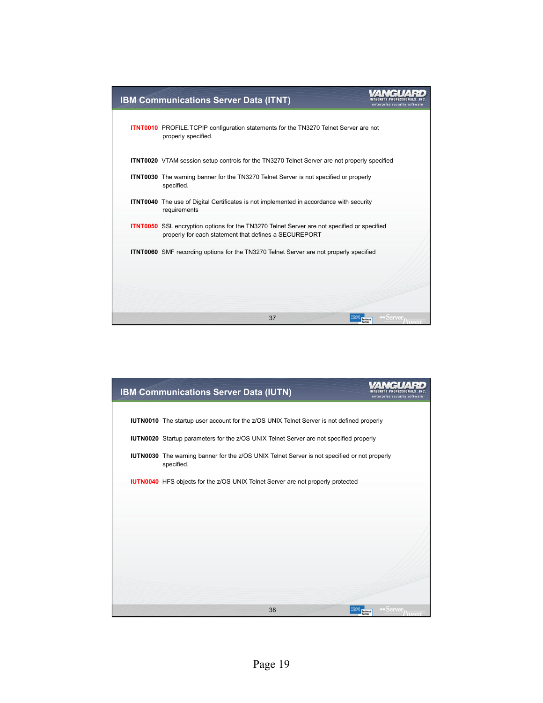| <b>IBM Communications Server Data (ITNT)</b>                                                                                                                |                 |
|-------------------------------------------------------------------------------------------------------------------------------------------------------------|-----------------|
| <b>ITNT0010</b> PROFILE.TCPIP configuration statements for the TN3270 Telnet Server are not<br>properly specified.                                          |                 |
| <b>ITNT0020</b> VTAM session setup controls for the TN3270 Telnet Server are not properly specified                                                         |                 |
| <b>ITNT0030</b> The warning banner for the TN3270 Telnet Server is not specified or properly<br>specified.                                                  |                 |
| <b>ITNT0040</b> The use of Digital Certificates is not implemented in accordance with security<br>requirements                                              |                 |
| <b>ITNT0050</b> SSL encryption options for the TN3270 Telnet Server are not specified or specified<br>properly for each statement that defines a SECUREPORT |                 |
| <b>ITNT0060</b> SMF recording options for the TN3270 Telnet Server are not properly specified                                                               |                 |
|                                                                                                                                                             |                 |
|                                                                                                                                                             |                 |
| 37                                                                                                                                                          | <b>Business</b> |

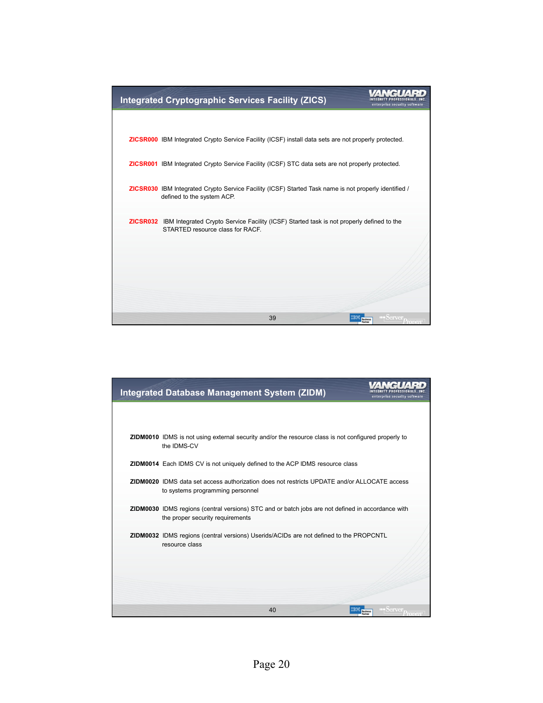

| <b>Integrated Database Management System (ZIDM)</b>                                                                                          | enterprise security software                  |
|----------------------------------------------------------------------------------------------------------------------------------------------|-----------------------------------------------|
|                                                                                                                                              |                                               |
| <b>ZIDM0010</b> IDMS is not using external security and/or the resource class is not configured properly to<br>the IDMS-CV                   |                                               |
| ZIDM0014 Each IDMS CV is not uniquely defined to the ACP IDMS resource class                                                                 |                                               |
| <b>ZIDM0020</b> IDMS data set access authorization does not restricts UPDATE and/or ALLOCATE access<br>to systems programming personnel      |                                               |
| <b>ZIDM0030</b> IDMS regions (central versions) STC and or batch jobs are not defined in accordance with<br>the proper security requirements |                                               |
| <b>ZIDM0032</b> IDMS regions (central versions) Userids/ACIDs are not defined to the PROPCNTL<br>resource class                              |                                               |
|                                                                                                                                              |                                               |
|                                                                                                                                              |                                               |
| 40                                                                                                                                           | Server <sub><i>i</i></sub><br><b>Business</b> |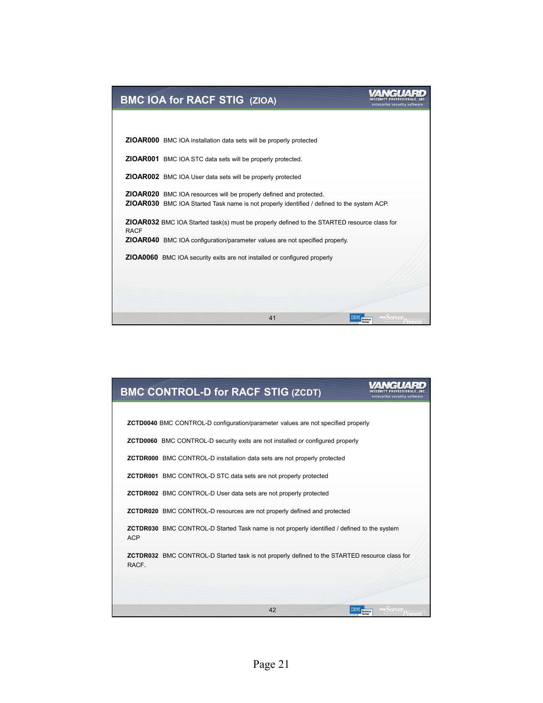| <b>BMC IOA for RACF STIG (ZIOA)</b>                                                                                                                                     | enterprise security software |
|-------------------------------------------------------------------------------------------------------------------------------------------------------------------------|------------------------------|
|                                                                                                                                                                         |                              |
| <b>ZIOAR000</b> BMC IOA installation data sets will be properly protected                                                                                               |                              |
| <b>ZIOAR001</b> BMC IOA STC data sets will be properly protected.                                                                                                       |                              |
| <b>ZIOAR002</b> BMC IOA User data sets will be properly protected                                                                                                       |                              |
| <b>ZIOAR020</b> BMC IOA resources will be properly defined and protected.<br>ZIOAR030 BMC IOA Started Task name is not properly identified / defined to the system ACP. |                              |
| <b>ZIOAR032</b> BMC IOA Started task(s) must be properly defined to the STARTED resource class for<br><b>RACF</b>                                                       |                              |
| <b>ZIOAR040</b> BMC IOA configuration/parameter values are not specified properly.                                                                                      |                              |
| <b>ZIOA0060</b> BMC IOA security exits are not installed or configured properly                                                                                         |                              |
|                                                                                                                                                                         |                              |
|                                                                                                                                                                         |                              |
| 41                                                                                                                                                                      |                              |

| <b>BMC CONTROL-D for RACF STIG (ZCDT)</b>                                                                        | enterprise security software                 |
|------------------------------------------------------------------------------------------------------------------|----------------------------------------------|
|                                                                                                                  |                                              |
| <b>ZCTD0040</b> BMC CONTROL-D configuration/parameter values are not specified properly                          |                                              |
| <b>ZCTD0060</b> BMC CONTROL-D security exits are not installed or configured properly                            |                                              |
| <b>ZCTDR000</b> BMC CONTROL-D installation data sets are not properly protected                                  |                                              |
| <b>ZCTDR001</b> BMC CONTROL-D STC data sets are not properly protected                                           |                                              |
| <b>ZCTDR002</b> BMC CONTROL-D User data sets are not properly protected                                          |                                              |
| <b>ZCTDR020</b> BMC CONTROL-D resources are not properly defined and protected                                   |                                              |
| <b>ZCTDR030</b> BMC CONTROL-D Started Task name is not properly identified / defined to the system<br><b>ACP</b> |                                              |
| <b>ZCTDR032</b> BMC CONTROL-D Started task is not properly defined to the STARTED resource class for<br>RACF.    |                                              |
|                                                                                                                  |                                              |
| 42<br>IBM                                                                                                        | $S$ erver $_{D_{\infty}}$<br><b>Business</b> |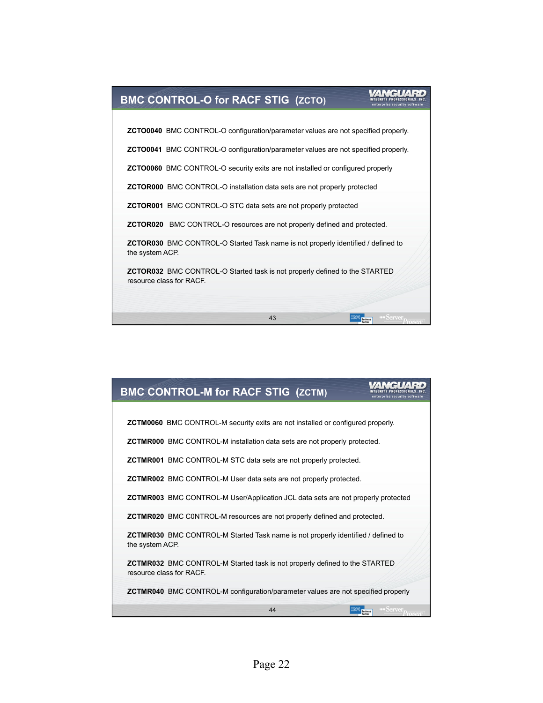

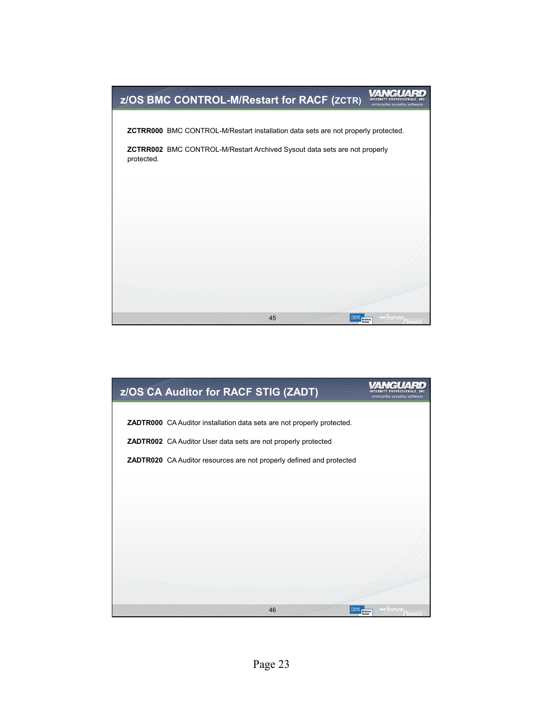

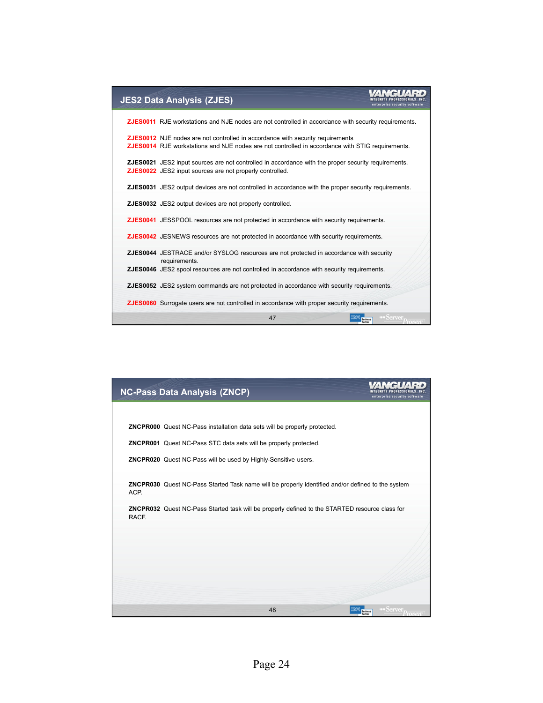

| <b>NC-Pass Data Analysis (ZNCP)</b>                                                                       | enterprise security software                                  |
|-----------------------------------------------------------------------------------------------------------|---------------------------------------------------------------|
|                                                                                                           |                                                               |
| ZNCPR000 Quest NC-Pass installation data sets will be properly protected.                                 |                                                               |
| <b>ZNCPR001</b> Quest NC-Pass STC data sets will be properly protected.                                   |                                                               |
| ZNCPR020 Quest NC-Pass will be used by Highly-Sensitive users.                                            |                                                               |
| ZNCPR030 Quest NC-Pass Started Task name will be properly identified and/or defined to the system<br>ACP. |                                                               |
| ZNCPR032 Quest NC-Pass Started task will be properly defined to the STARTED resource class for<br>RACF.   |                                                               |
|                                                                                                           |                                                               |
|                                                                                                           |                                                               |
|                                                                                                           |                                                               |
| 48                                                                                                        | Server <sub>prof</sub><br><b>Business</b><br>-mwen<br>Partner |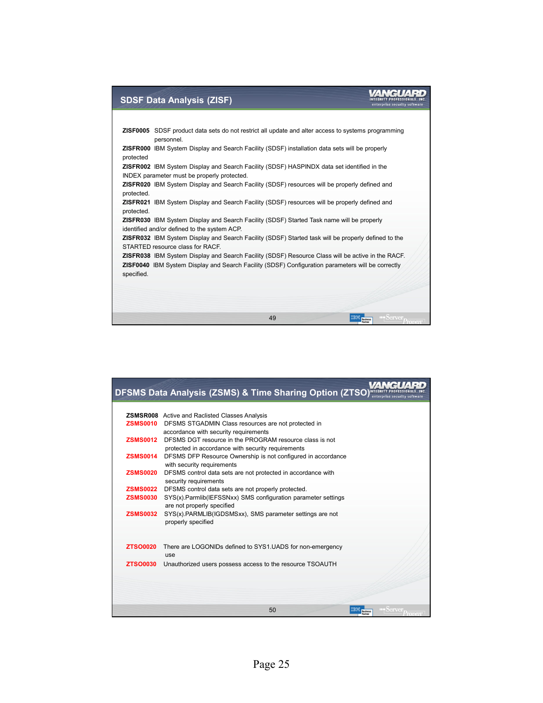## WANGUARD

#### **SDSF Data Analysis (ZISF)**

**ZISF0005** SDSF product data sets do not restrict all update and alter access to systems programming personnel. **ZISFR000** IBM System Display and Search Facility (SDSF) installation data sets will be properly protected **ZISFR002** IBM System Display and Search Facility (SDSF) HASPINDX data set identified in the INDEX parameter must be properly protected. **ZISFR020** IBM System Display and Search Facility (SDSF) resources will be properly defined and protected. **ZISFR021** IBM System Display and Search Facility (SDSF) resources will be properly defined and protected. **ZISFR030** IBM System Display and Search Facility (SDSF) Started Task name will be properly identified and/or defined to the system ACP. **ZISFR032** IBM System Display and Search Facility (SDSF) Started task will be properly defined to the STARTED resource class for RACF. **ZISFR038** IBM System Display and Search Facility (SDSF) Resource Class will be active in the RACF. **ZISF0040** IBM System Display and Search Facility (SDSF) Configuration parameters will be correctly specified. 49 **IBM** Business

|                 | <b>DFSMS Data Analysis (ZSMS) &amp; Time Sharing Option (ZTSO) NTEGRITY</b>                |
|-----------------|--------------------------------------------------------------------------------------------|
|                 |                                                                                            |
|                 | <b>ZSMSR008</b> Active and Raclisted Classes Analysis                                      |
| <b>ZSMS0010</b> | DFSMS STGADMIN Class resources are not protected in                                        |
|                 | accordance with security requirements                                                      |
| <b>ZSMS0012</b> | DFSMS DGT resource in the PROGRAM resource class is not                                    |
|                 | protected in accordance with security requirements                                         |
| <b>ZSMS0014</b> | DFSMS DFP Resource Ownership is not configured in accordance                               |
| <b>ZSMS0020</b> | with security requirements<br>DFSMS control data sets are not protected in accordance with |
|                 | security requirements                                                                      |
| <b>ZSMS0022</b> | DFSMS control data sets are not properly protected.                                        |
| <b>ZSMS0030</b> | SYS(x).Parmlib(IEFSSNxx) SMS configuration parameter settings                              |
|                 | are not properly specified                                                                 |
| <b>ZSMS0032</b> | SYS(x).PARMLIB(IGDSMSxx), SMS parameter settings are not                                   |
|                 | properly specified                                                                         |
|                 |                                                                                            |
|                 |                                                                                            |
| <b>ZTSO0020</b> | There are LOGONIDs defined to SYS1.UADS for non-emergency                                  |
|                 | use                                                                                        |
| <b>ZTSO0030</b> | Unauthorized users possess access to the resource TSOAUTH                                  |
|                 |                                                                                            |
|                 |                                                                                            |
|                 |                                                                                            |
|                 | 50<br>$\bigcup$ arven<br><b>Business</b>                                                   |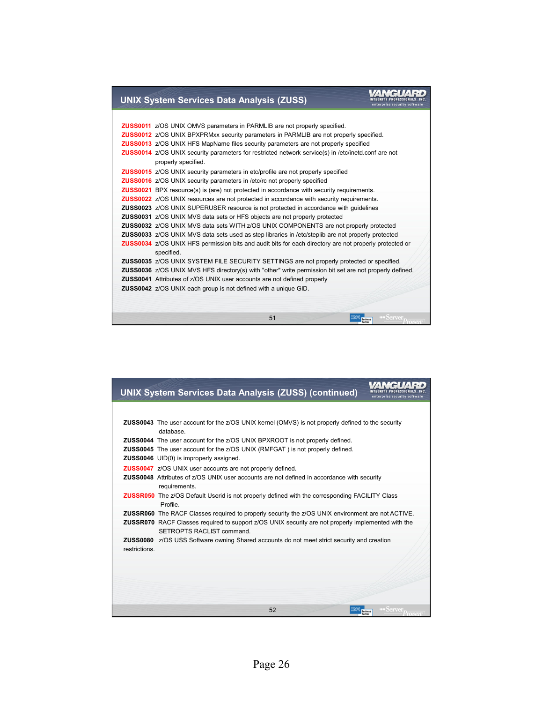#### **UNIX System Services Data Analysis (ZUSS)**

|  | <b>ZUSS0011</b> z/OS UNIX OMVS parameters in PARMLIB are not properly specified.                               |
|--|----------------------------------------------------------------------------------------------------------------|
|  | <b>ZUSS0012</b> <i>z/OS UNIX BPXPRMxx security parameters in PARMLIB are not properly specified.</i>           |
|  | ZUSS0013 z/OS UNIX HFS MapName files security parameters are not properly specified                            |
|  | <b>ZUSS0014</b> z/OS UNIX security parameters for restricted network service(s) in /etc/inetd.conf are not     |
|  | properly specified.                                                                                            |
|  | <b>ZUSS0015</b> z/OS UNIX security parameters in etc/profile are not properly specified                        |
|  | <b>ZUSS0016</b> z/OS UNIX security parameters in /etc/rc not properly specified                                |
|  | <b>ZUSS0021</b> BPX resource(s) is (are) not protected in accordance with security requirements.               |
|  | <b>ZUSS0022</b> z/OS UNIX resources are not protected in accordance with security requirements.                |
|  | <b>ZUSS0023</b> z/OS UNIX SUPERUSER resource is not protected in accordance with guidelines                    |
|  | ZUSS0031 z/OS UNIX MVS data sets or HFS objects are not properly protected                                     |
|  | <b>ZUSS0032</b> z/OS UNIX MVS data sets WITH z/OS UNIX COMPONENTS are not properly protected                   |
|  | <b>ZUSS0033</b> z/OS UNIX MVS data sets used as step libraries in /etc/steplib are not properly protected      |
|  | <b>ZUSS0034</b> z/OS UNIX HFS permission bits and audit bits for each directory are not properly protected or  |
|  | specified.                                                                                                     |
|  | ZUSS0035 z/OS UNIX SYSTEM FILE SECURITY SETTINGS are not properly protected or specified.                      |
|  | <b>ZUSS0036</b> z/OS UNIX MVS HFS directory(s) with "other" write permission bit set are not properly defined. |
|  | <b>ZUSS0041</b> Attributes of z/OS UNIX user accounts are not defined properly                                 |
|  | <b>ZUSS0042</b> z/OS UNIX each group is not defined with a unique GID.                                         |
|  |                                                                                                                |
|  |                                                                                                                |
|  | $S$ erver <sub><math>D_{\infty}</math></sub><br>51<br><b>TEM Business</b>                                      |
|  |                                                                                                                |

INTEGRITY PROFESSIONALS, INC.<br>
enterprise security software

| <b>UNIX System Services Data Analysis (ZUSS) (continued)</b>                                                                                                                                                                                | enterprise security software                 |
|---------------------------------------------------------------------------------------------------------------------------------------------------------------------------------------------------------------------------------------------|----------------------------------------------|
|                                                                                                                                                                                                                                             |                                              |
| <b>ZUSS0043</b> The user account for the z/OS UNIX kernel (OMVS) is not properly defined to the security<br>database.                                                                                                                       |                                              |
| <b>ZUSS0044</b> The user account for the z/OS UNIX BPXROOT is not properly defined.<br><b>ZUSS0045</b> The user account for the z/OS UNIX (RMFGAT) is not properly defined.<br><b>ZUSS0046</b> UID(0) is improperly assigned.               |                                              |
| <b>ZUSS0047</b> z/OS UNIX user accounts are not properly defined.                                                                                                                                                                           |                                              |
| <b>ZUSS0048</b> Attributes of z/OS UNIX user accounts are not defined in accordance with security                                                                                                                                           |                                              |
| requirements.<br><b>ZUSSR050</b> The z/OS Default Userid is not properly defined with the corresponding FACILITY Class<br>Profile.                                                                                                          |                                              |
| <b>ZUSSR060</b> The RACF Classes required to properly security the z/OS UNIX environment are not ACTIVE.<br>ZUSSR070 RACF Classes required to support z/OS UNIX security are not properly implemented with the<br>SETROPTS RACLIST command. |                                              |
| <b>ZUSS0080</b> z/OS USS Software owning Shared accounts do not meet strict security and creation<br>restrictions.                                                                                                                          |                                              |
|                                                                                                                                                                                                                                             |                                              |
|                                                                                                                                                                                                                                             |                                              |
|                                                                                                                                                                                                                                             |                                              |
| 52                                                                                                                                                                                                                                          | Server $p_{\overline{n}}$<br><b>Business</b> |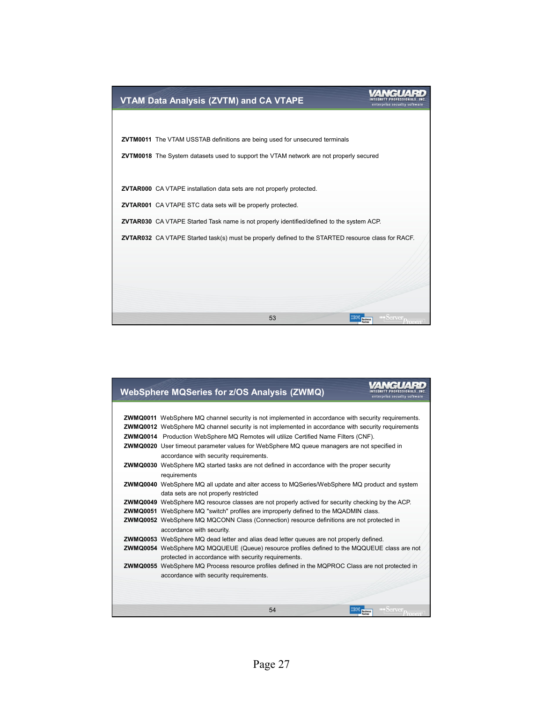

| <b>WebSphere MQSeries for z/OS Analysis (ZWMQ)</b>                                                         | y ell.<br>enterprise security software |
|------------------------------------------------------------------------------------------------------------|----------------------------------------|
|                                                                                                            |                                        |
| <b>ZWMQ0011</b> WebSphere MQ channel security is not implemented in accordance with security requirements. |                                        |
| <b>ZWMQ0012</b> WebSphere MQ channel security is not implemented in accordance with security requirements  |                                        |
| <b>ZWMQ0014</b> Production WebSphere MQ Remotes will utilize Certified Name Filters (CNF).                 |                                        |
| <b>ZWMQ0020</b> User timeout parameter values for WebSphere MQ queue managers are not specified in         |                                        |
| accordance with security requirements.                                                                     |                                        |
| <b>ZWMQ0030</b> WebSphere MQ started tasks are not defined in accordance with the proper security          |                                        |
| requirements                                                                                               |                                        |
| <b>ZWMQ0040</b> WebSphere MQ all update and alter access to MQSeries/WebSphere MQ product and system       |                                        |
| data sets are not properly restricted                                                                      |                                        |
| <b>ZWMQ0049</b> WebSphere MQ resource classes are not properly actived for security checking by the ACP.   |                                        |
| <b>ZWMQ0051</b> WebSphere MQ "switch" profiles are improperly defined to the MQADMIN class.                |                                        |
| <b>ZWMQ0052</b> WebSphere MQ MQCONN Class (Connection) resource definitions are not protected in           |                                        |
| accordance with security.                                                                                  |                                        |
| <b>ZWMQ0053</b> WebSphere MQ dead letter and alias dead letter queues are not properly defined.            |                                        |
| <b>ZWMQ0054</b> WebSphere MQ MQQUEUE (Queue) resource profiles defined to the MQQUEUE class are not        |                                        |
| protected in accordance with security requirements.                                                        |                                        |
| <b>ZWMQ0055</b> WebSphere MQ Process resource profiles defined in the MQPROC Class are not protected in    |                                        |
| accordance with security requirements.                                                                     |                                        |
|                                                                                                            |                                        |
|                                                                                                            |                                        |
| 54                                                                                                         | <b>Business</b><br>P <sub>rowen</sub>  |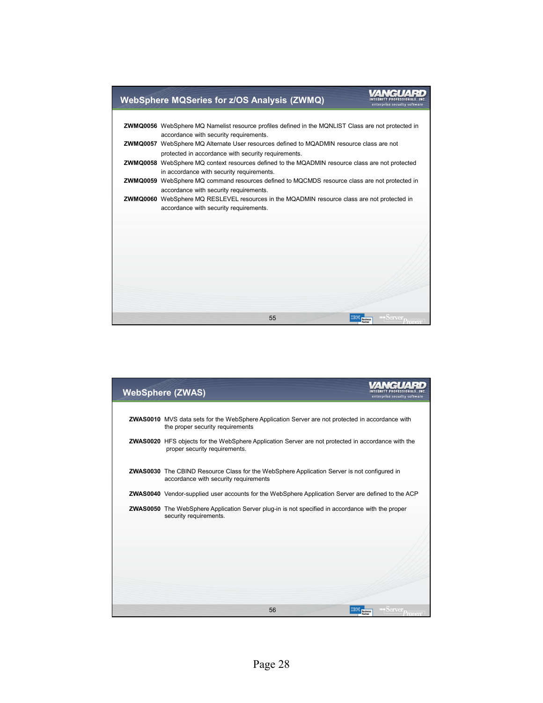

| <b>WebSphere (ZWAS)</b>                                                                                                                    | enterprise security software                |
|--------------------------------------------------------------------------------------------------------------------------------------------|---------------------------------------------|
| <b>ZWAS0010</b> MVS data sets for the WebSphere Application Server are not protected in accordance with                                    |                                             |
| the proper security requirements                                                                                                           |                                             |
| <b>ZWAS0020</b> HFS objects for the WebSphere Application Server are not protected in accordance with the<br>proper security requirements. |                                             |
| ZWAS0030 The CBIND Resource Class for the WebSphere Application Server is not configured in<br>accordance with security requirements       |                                             |
| <b>ZWAS0040</b> Vendor-supplied user accounts for the WebSphere Application Server are defined to the ACP                                  |                                             |
| <b>ZWAS0050</b> The WebSphere Application Server plug-in is not specified in accordance with the proper<br>security requirements.          |                                             |
|                                                                                                                                            |                                             |
|                                                                                                                                            |                                             |
|                                                                                                                                            |                                             |
| 56                                                                                                                                         | Server <sub>Denver</sub><br><b>Business</b> |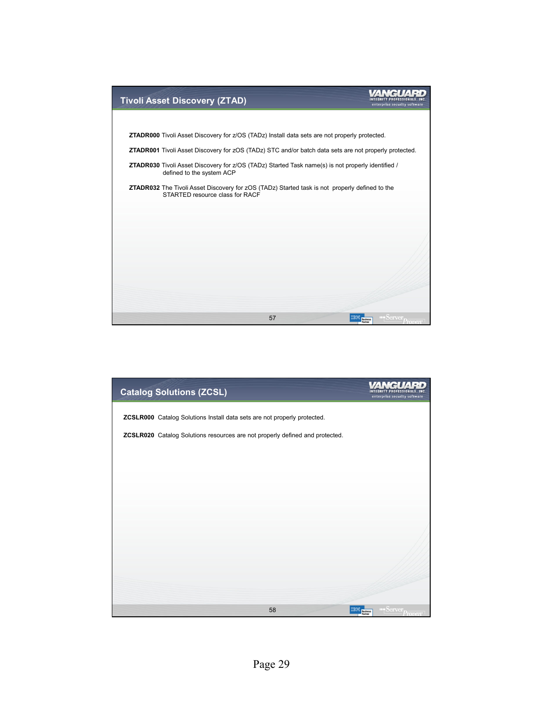

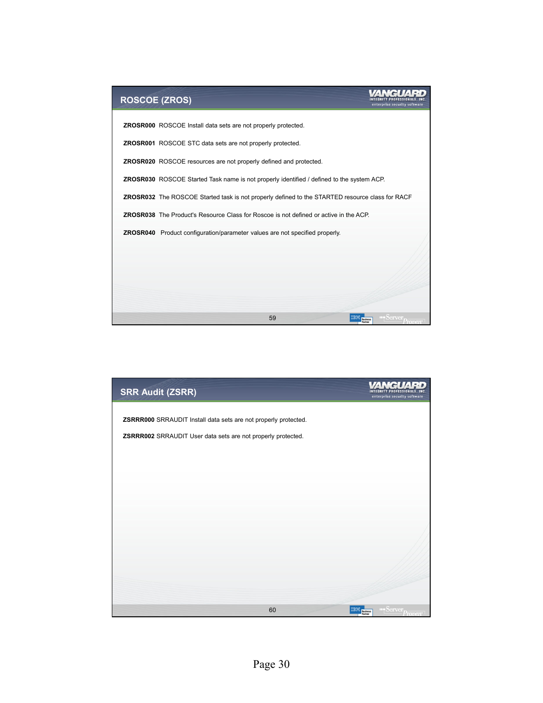

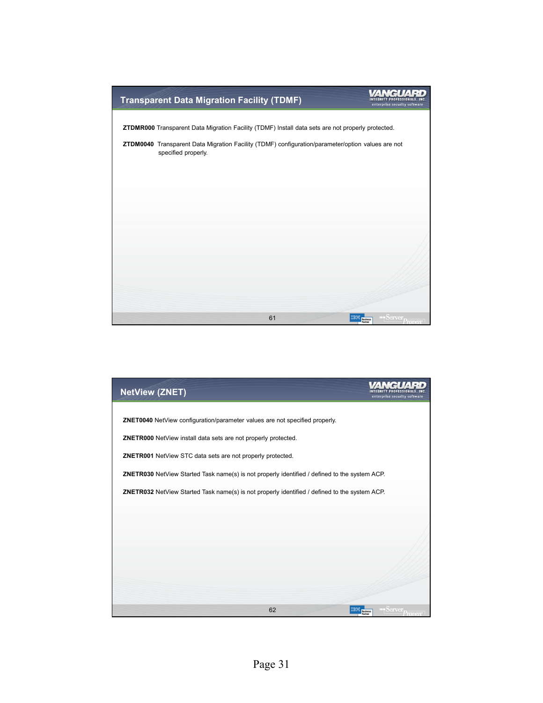

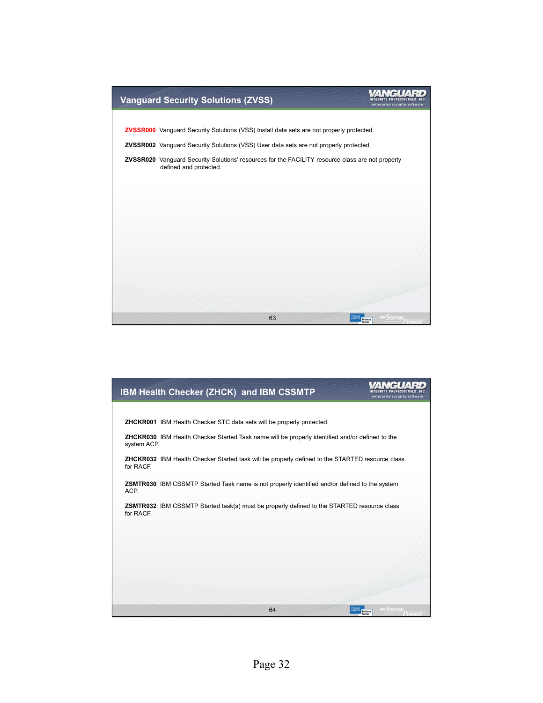

| IBM Health Checker (ZHCK) and IBM CSSMTP                                                                              | enterprise security software        |
|-----------------------------------------------------------------------------------------------------------------------|-------------------------------------|
|                                                                                                                       |                                     |
| <b>ZHCKR001</b> IBM Health Checker STC data sets will be properly protected.                                          |                                     |
| <b>ZHCKR030</b> IBM Health Checker Started Task name will be properly identified and/or defined to the<br>system ACP. |                                     |
| ZHCKR032 IBM Health Checker Started task will be properly defined to the STARTED resource class<br>for RACF.          |                                     |
| ZSMTR030 IBM CSSMTP Started Task name is not properly identified and/or defined to the system<br>ACP.                 |                                     |
| <b>ZSMTR032</b> IBM CSSMTP Started task(s) must be properly defined to the STARTED resource class<br>for RACF.        |                                     |
|                                                                                                                       |                                     |
|                                                                                                                       |                                     |
|                                                                                                                       |                                     |
|                                                                                                                       |                                     |
| 64                                                                                                                    | berver<br><b>Business</b><br>Proven |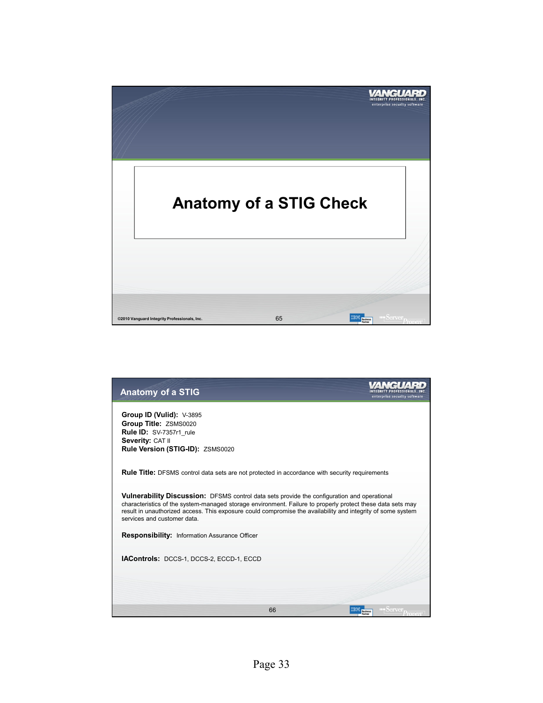

| <b>Anatomy of a STIG</b>                                                                                                                                                                                                                                                                                                                                | enterprise security software |
|---------------------------------------------------------------------------------------------------------------------------------------------------------------------------------------------------------------------------------------------------------------------------------------------------------------------------------------------------------|------------------------------|
| Group ID (Vulid): $V-3895$<br>Group Title: ZSMS0020<br>Rule ID: SV-7357r1 rule<br>Severity: CAT II<br>Rule Version (STIG-ID): ZSMS0020                                                                                                                                                                                                                  |                              |
| <b>Rule Title:</b> DFSMS control data sets are not protected in accordance with security requirements                                                                                                                                                                                                                                                   |                              |
| Vulnerability Discussion: DFSMS control data sets provide the configuration and operational<br>characteristics of the system-managed storage environment. Failure to properly protect these data sets may<br>result in unauthorized access. This exposure could compromise the availability and integrity of some system<br>services and customer data. |                              |
| Responsibility: Information Assurance Officer                                                                                                                                                                                                                                                                                                           |                              |
| IAControls: DCCS-1, DCCS-2, ECCD-1, ECCD                                                                                                                                                                                                                                                                                                                |                              |
| 66                                                                                                                                                                                                                                                                                                                                                      | <b>Business</b>              |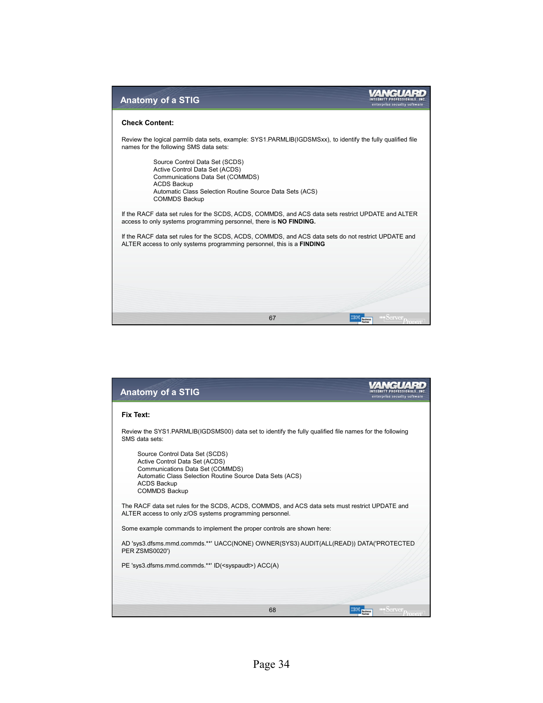| <b>Anatomy of a STIG</b><br>enterprise security software                                                                                                                        |
|---------------------------------------------------------------------------------------------------------------------------------------------------------------------------------|
| <b>Check Content:</b>                                                                                                                                                           |
| Review the logical parmlib data sets, example: SYS1.PARMLIB(IGDSMSxx), to identify the fully qualified file<br>names for the following SMS data sets:                           |
| Source Control Data Set (SCDS)<br>Active Control Data Set (ACDS)<br>Communications Data Set (COMMDS)                                                                            |
| <b>ACDS Backup</b><br>Automatic Class Selection Routine Source Data Sets (ACS)<br><b>COMMDS Backup</b>                                                                          |
| If the RACF data set rules for the SCDS, ACDS, COMMDS, and ACS data sets restrict UPDATE and ALTER<br>access to only systems programming personnel, there is <b>NO FINDING.</b> |
| If the RACF data set rules for the SCDS, ACDS, COMMDS, and ACS data sets do not restrict UPDATE and<br>ALTER access to only systems programming personnel, this is a FINDING    |
|                                                                                                                                                                                 |
|                                                                                                                                                                                 |
| 67                                                                                                                                                                              |

| <b>Anatomy of a STIG</b>                                                                                                                                   | enterprise security software        |
|------------------------------------------------------------------------------------------------------------------------------------------------------------|-------------------------------------|
| Fix Text:                                                                                                                                                  |                                     |
| Review the SYS1.PARMLIB(IGDSMS00) data set to identify the fully qualified file names for the following<br>SMS data sets:                                  |                                     |
| Source Control Data Set (SCDS)<br>Active Control Data Set (ACDS)<br>Communications Data Set (COMMDS)                                                       |                                     |
| Automatic Class Selection Routine Source Data Sets (ACS)<br><b>ACDS Backup</b><br><b>COMMDS Backup</b>                                                     |                                     |
| The RACF data set rules for the SCDS, ACDS, COMMDS, and ACS data sets must restrict UPDATE and<br>ALTER access to only z/OS systems programming personnel. |                                     |
| Some example commands to implement the proper controls are shown here:                                                                                     |                                     |
| AD 'sys3.dfsms.mmd.commds.**' UACC(NONE) OWNER(SYS3) AUDIT(ALL(READ)) DATA('PROTECTED<br><b>PER ZSMS0020')</b>                                             |                                     |
| PE 'sys3.dfsms.mmd.commds.**' ID( <syspaudt>) ACC(A)</syspaudt>                                                                                            |                                     |
|                                                                                                                                                            |                                     |
|                                                                                                                                                            |                                     |
| 68                                                                                                                                                         | <b>IF Server</b><br><b>Business</b> |